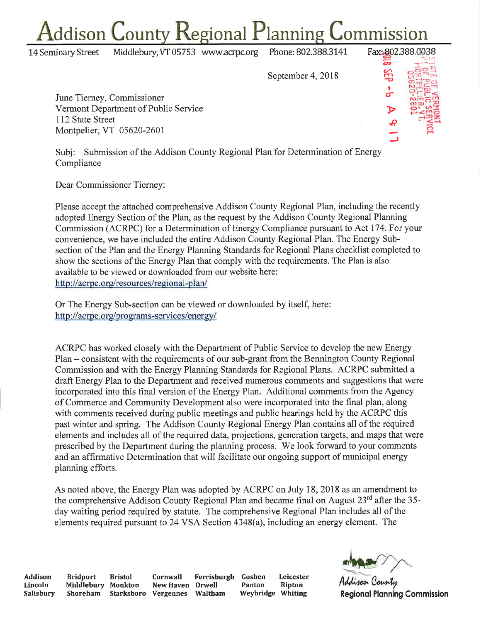## ddison County Regional Planning ommission

**14 Seminary Street** Middlebury, VT 05753 www.acrpc.org Phone: 802.388.3141 Fax: 802.388.0038 öÞ 3EP September 4, 2018 June Tierney, Commissioner Vermont Department of Public Service 112 State Street Montpelier, VT 05620-2601

Subj: Submission of the Addison County Regional Plan for Determination of Energy Compliance

Dear Commissioner Tierney:

Please accept the attached comprehensive Addison County Regional Plan, including the recently adopted Energy Section of the Plan, as the request by the Addison County Regional Planning Commission (ACRPC) for a Determination of Energy Compliance pursuant to Act 174. For your convenience, we have included the entire Addison County Regional Plan. The Energy Subsection of the Plan and the Energy Planning Standards for Regional Plans checklist completed to show the sections of the Energy Plan that comply with the requirements. The Plan is also available to be viewed or downloaded from our website here: http://acrpc.org/resources/regional-plan/

Or The Energy Sub-section can be viewed or downloaded by itself, here: http://acrpc.org/programs-services/energy/

ACRPC has worked closely with the Department of Public Service to develop the new Energy Plan – consistent with the requirements of our sub-grant from the Bennington County Regional Commission and with the Energy Planning Standards for Regional Plans. ACRPC submitted a draft Energy Plan to the Department and received numerous comments and suggestions that were incorporated into this final version of the Energy Plan. Additional comments from the Agency of Commerce and Community Development also were incorporated into the final plan, along with comments received during public meetings and public hearings held by the ACRPC this past winter and spring. The Addison County Regional Energy Plan contains all of the required elements and includes all of the required data, projections, generation targets, and maps that were prescribed by the Department during the planning process. We look forward to your comments and an affirmative Determination that will facilitate our ongoing support of municipal energy planning efforts.

As noted above, the Energy Plan was adopted by ACRPC on July 18, 2018 as an amendment to the comprehensive Addison County Regional Plan and became final on August 23<sup>rd</sup> after the 35day waiting period required by statute. The comprehensive Regional Plan includes all of the elements required pursuant to 24 VSA Section 4348(a), including an energy element. The

Addison Lincoln Salisbury

**Bridport** Middlebury Monkton Shoreham

**Bristol** Cornwall Starksboro Vergennes

Ferrisburgh New Haven Orwell Waltham

Goshen Leicester Panton **Ripton** Weybridge Whiting



**Regional Planning Commission**